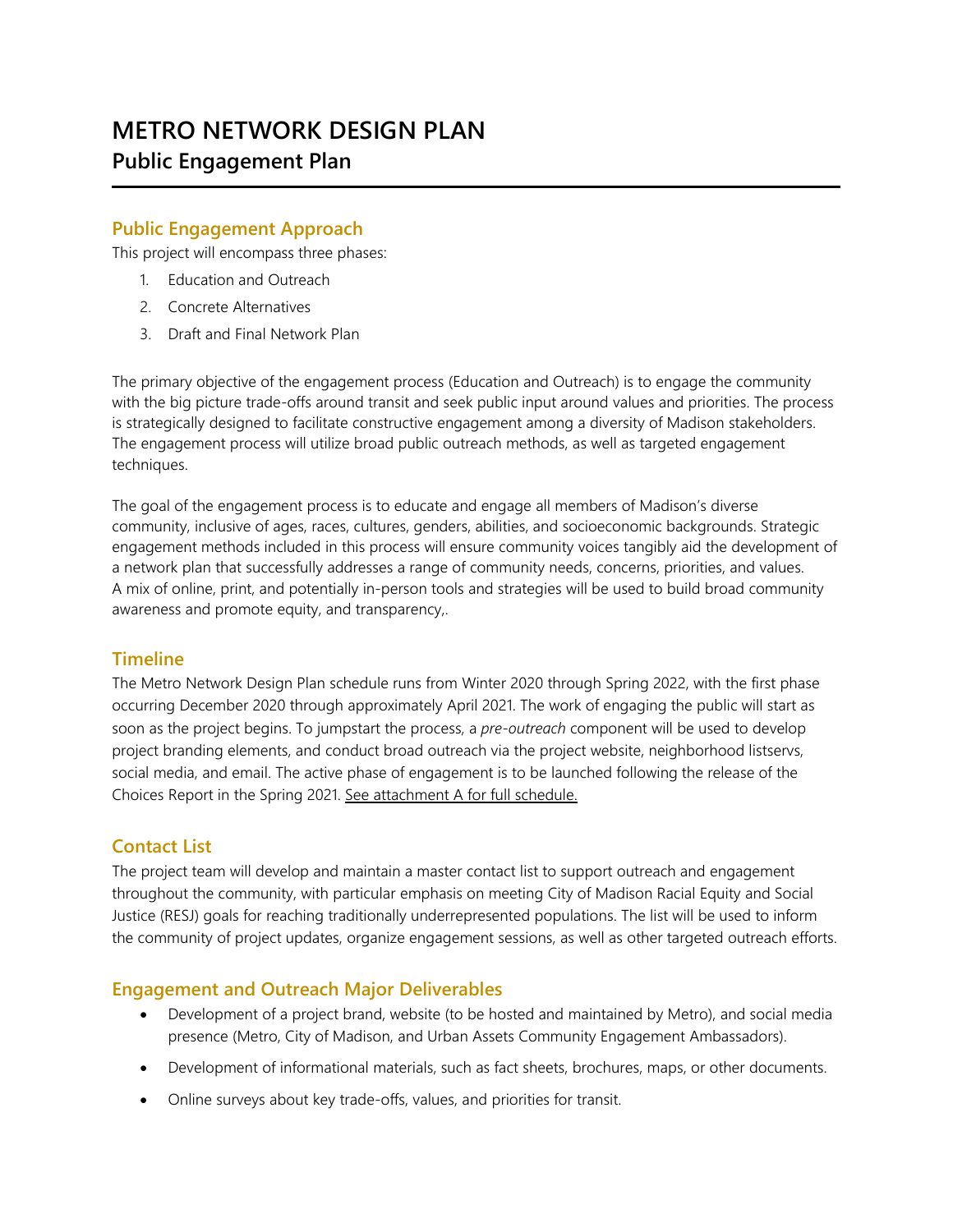# **METRO NETWORK DESIGN PLAN Public Engagement Plan**

## **Public Engagement Approach**

This project will encompass three phases:

- 1. Education and Outreach
- 2. Concrete Alternatives
- 3. Draft and Final Network Plan

The primary objective of the engagement process (Education and Outreach) is to engage the community with the big picture trade-offs around transit and seek public input around values and priorities. The process is strategically designed to facilitate constructive engagement among a diversity of Madison stakeholders. The engagement process will utilize broad public outreach methods, as well as targeted engagement techniques.

The goal of the engagement process is to educate and engage all members of Madison's diverse community, inclusive of ages, races, cultures, genders, abilities, and socioeconomic backgrounds. Strategic engagement methods included in this process will ensure community voices tangibly aid the development of a network plan that successfully addresses a range of community needs, concerns, priorities, and values. A mix of online, print, and potentially in-person tools and strategies will be used to build broad community awareness and promote equity, and transparency,.

#### **Timeline**

The Metro Network Design Plan schedule runs from Winter 2020 through Spring 2022, with the first phase occurring December 2020 through approximately April 2021. The work of engaging the public will start as soon as the project begins. To jumpstart the process, a *pre-outreach* component will be used to develop project branding elements, and conduct broad outreach via the project website, neighborhood listservs, social media, and email. The active phase of engagement is to be launched following the release of the Choices Report in the Spring 2021. See attachment A for full schedule.

## **Contact List**

The project team will develop and maintain a master contact list to support outreach and engagement throughout the community, with particular emphasis on meeting City of Madison Racial Equity and Social Justice (RESJ) goals for reaching traditionally underrepresented populations. The list will be used to inform the community of project updates, organize engagement sessions, as well as other targeted outreach efforts.

#### **Engagement and Outreach Major Deliverables**

- Development of a project brand, website (to be hosted and maintained by Metro), and social media presence (Metro, City of Madison, and Urban Assets Community Engagement Ambassadors).
- Development of informational materials, such as fact sheets, brochures, maps, or other documents.
- Online surveys about key trade-offs, values, and priorities for transit.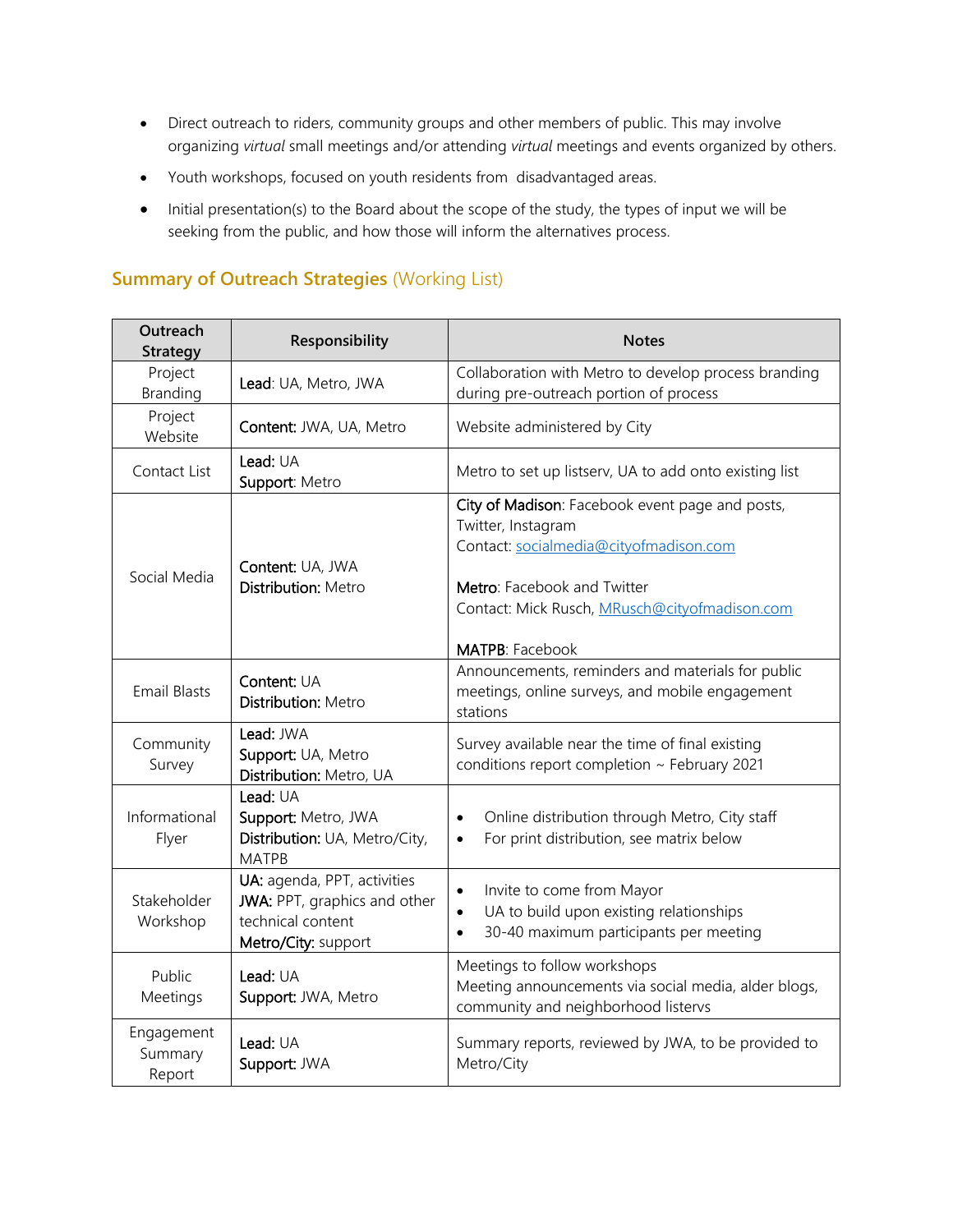- Direct outreach to riders, community groups and other members of public. This may involve organizing *virtual* small meetings and/or attending *virtual* meetings and events organized by others.
- Youth workshops, focused on youth residents from disadvantaged areas.
- Initial presentation(s) to the Board about the scope of the study, the types of input we will be seeking from the public, and how those will inform the alternatives process.

# **Summary of Outreach Strategies** (Working List)

| Outreach<br><b>Strategy</b>     | Responsibility                                                                                          | <b>Notes</b>                                                                                                                                                                                                              |
|---------------------------------|---------------------------------------------------------------------------------------------------------|---------------------------------------------------------------------------------------------------------------------------------------------------------------------------------------------------------------------------|
| Project<br>Branding             | Lead: UA, Metro, JWA                                                                                    | Collaboration with Metro to develop process branding<br>during pre-outreach portion of process                                                                                                                            |
| Project<br>Website              | Content: JWA, UA, Metro                                                                                 | Website administered by City                                                                                                                                                                                              |
| Contact List                    | Lead: UA<br>Support: Metro                                                                              | Metro to set up listserv, UA to add onto existing list                                                                                                                                                                    |
| Social Media                    | Content: UA, JWA<br><b>Distribution: Metro</b>                                                          | City of Madison: Facebook event page and posts,<br>Twitter, Instagram<br>Contact: socialmedia@cityofmadison.com<br>Metro: Facebook and Twitter<br>Contact: Mick Rusch, MRusch@cityofmadison.com<br><b>MATPB: Facebook</b> |
| <b>Email Blasts</b>             | Content: UA<br><b>Distribution: Metro</b>                                                               | Announcements, reminders and materials for public<br>meetings, online surveys, and mobile engagement<br>stations                                                                                                          |
| Community<br>Survey             | Lead: JWA<br>Support: UA, Metro<br>Distribution: Metro, UA                                              | Survey available near the time of final existing<br>conditions report completion ~ February 2021                                                                                                                          |
| Informational<br>Flyer          | Lead: UA<br>Support: Metro, JWA<br>Distribution: UA, Metro/City,<br><b>MATPB</b>                        | Online distribution through Metro, City staff<br>$\bullet$<br>For print distribution, see matrix below<br>$\bullet$                                                                                                       |
| Stakeholder<br>Workshop         | UA: agenda, PPT, activities<br>JWA: PPT, graphics and other<br>technical content<br>Metro/City: support | Invite to come from Mayor<br>UA to build upon existing relationships<br>30-40 maximum participants per meeting                                                                                                            |
| Public<br>Meetings              | Lead: UA<br>Support: JWA, Metro                                                                         | Meetings to follow workshops<br>Meeting announcements via social media, alder blogs,<br>community and neighborhood listervs                                                                                               |
| Engagement<br>Summary<br>Report | Lead: UA<br>Support: JWA                                                                                | Summary reports, reviewed by JWA, to be provided to<br>Metro/City                                                                                                                                                         |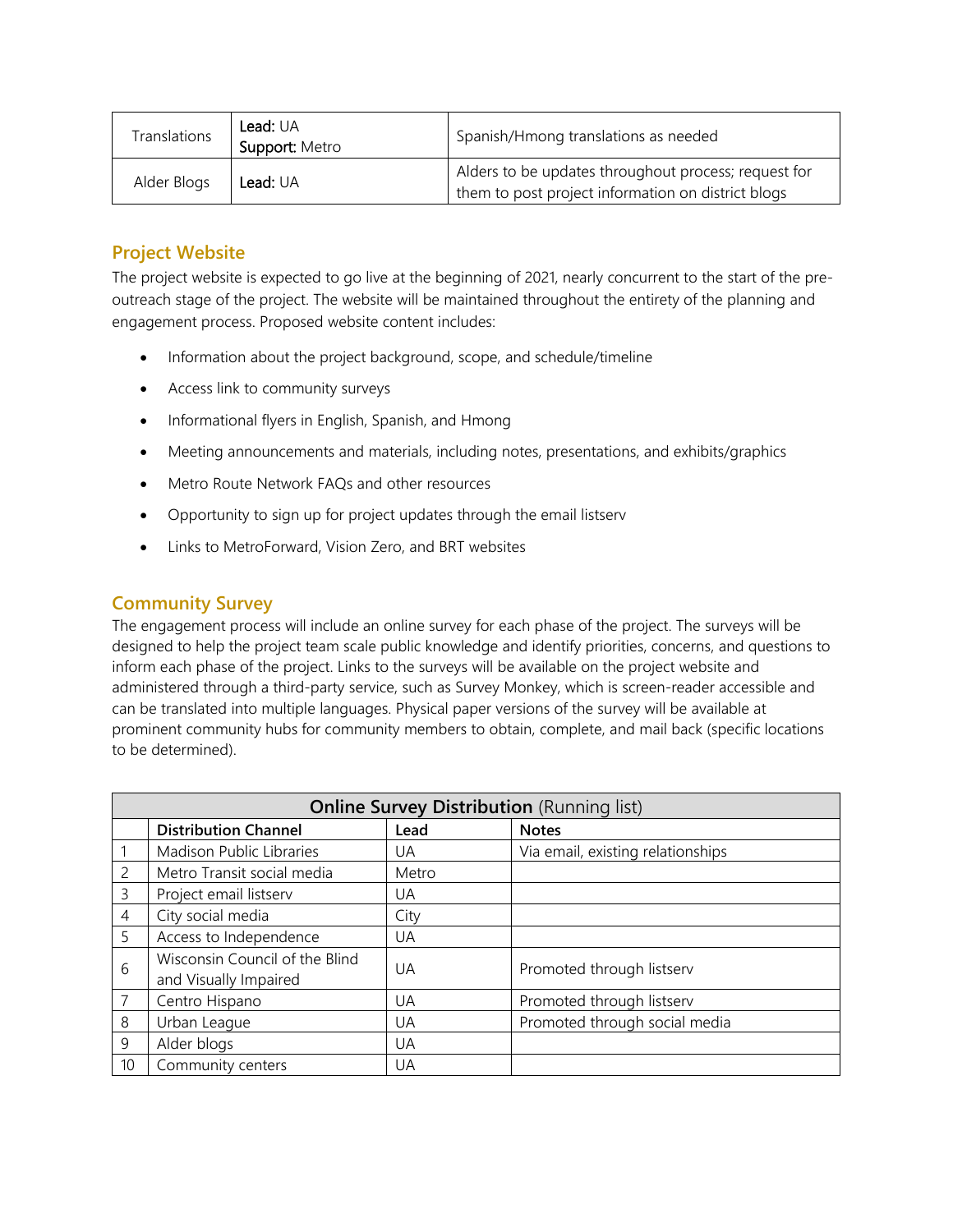| Translations | <b>Lead:</b> UA<br>Support: Metro | Spanish/Hmong translations as needed                                                                       |
|--------------|-----------------------------------|------------------------------------------------------------------------------------------------------------|
| Alder Blogs  | Lead: UA                          | Alders to be updates throughout process; request for<br>them to post project information on district blogs |

# **Project Website**

The project website is expected to go live at the beginning of 2021, nearly concurrent to the start of the preoutreach stage of the project. The website will be maintained throughout the entirety of the planning and engagement process. Proposed website content includes:

- Information about the project background, scope, and schedule/timeline
- Access link to community surveys
- Informational flyers in English, Spanish, and Hmong
- Meeting announcements and materials, including notes, presentations, and exhibits/graphics
- Metro Route Network FAQs and other resources
- Opportunity to sign up for project updates through the email listserv
- Links to MetroForward, Vision Zero, and BRT websites

## **Community Survey**

The engagement process will include an online survey for each phase of the project. The surveys will be designed to help the project team scale public knowledge and identify priorities, concerns, and questions to inform each phase of the project. Links to the surveys will be available on the project website and administered through a third-party service, such as Survey Monkey, which is screen-reader accessible and can be translated into multiple languages. Physical paper versions of the survey will be available at prominent community hubs for community members to obtain, complete, and mail back (specific locations to be determined).

| <b>Online Survey Distribution (Running list)</b> |                                                         |       |                                   |
|--------------------------------------------------|---------------------------------------------------------|-------|-----------------------------------|
|                                                  | <b>Distribution Channel</b>                             | Lead  | <b>Notes</b>                      |
|                                                  | Madison Public Libraries                                | UA    | Via email, existing relationships |
| $\overline{2}$                                   | Metro Transit social media                              | Metro |                                   |
| 3                                                | Project email listserv                                  | UA    |                                   |
| $\overline{4}$                                   | City social media                                       | City  |                                   |
| 5                                                | Access to Independence                                  | UA    |                                   |
| 6                                                | Wisconsin Council of the Blind<br>and Visually Impaired | UA    | Promoted through listserv         |
| 7                                                | Centro Hispano                                          | UA    | Promoted through listserv         |
| 8                                                | Urban League                                            | UA    | Promoted through social media     |
| 9                                                | Alder blogs                                             | UA    |                                   |
| 10 <sup>°</sup>                                  | Community centers                                       | UA    |                                   |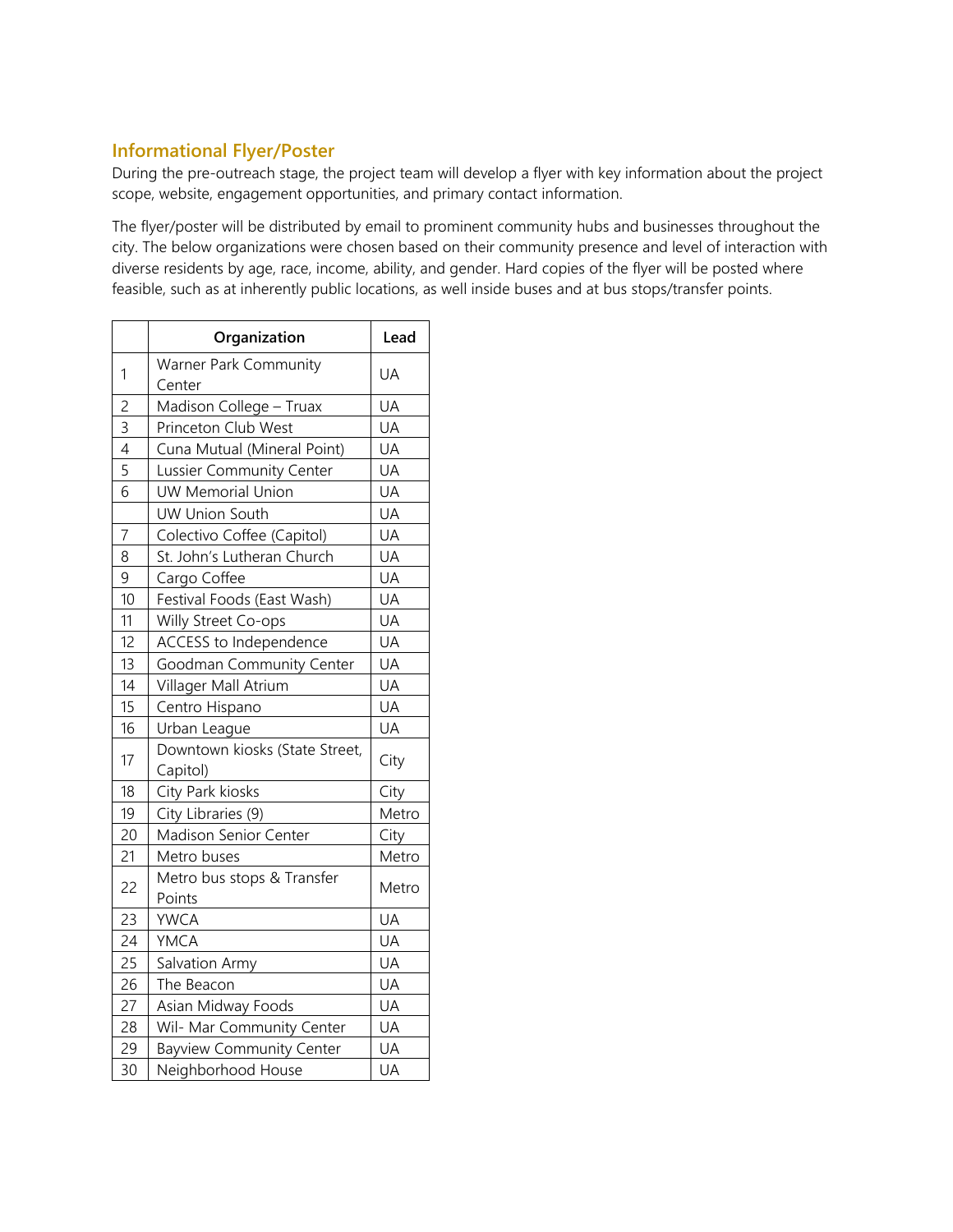## **Informational Flyer/Poster**

During the pre-outreach stage, the project team will develop a flyer with key information about the project scope, website, engagement opportunities, and primary contact information.

The flyer/poster will be distributed by email to prominent community hubs and businesses throughout the city. The below organizations were chosen based on their community presence and level of interaction with diverse residents by age, race, income, ability, and gender. Hard copies of the flyer will be posted where feasible, such as at inherently public locations, as well inside buses and at bus stops/transfer points.

|                | Organization                    | Lead  |
|----------------|---------------------------------|-------|
| $\mathbf{1}$   | Warner Park Community           | UA    |
|                | Center                          |       |
| $\overline{c}$ | Madison College - Truax         | UA    |
| $\overline{3}$ | Princeton Club West             | UA    |
| $\overline{4}$ | Cuna Mutual (Mineral Point)     | UA    |
| $\overline{5}$ | Lussier Community Center        | UA    |
| 6              | UW Memorial Union               | UA    |
|                | <b>UW Union South</b>           | UA    |
| $\overline{7}$ | Colectivo Coffee (Capitol)      | UA    |
| 8              | St. John's Lutheran Church      | UA    |
| 9              | Cargo Coffee                    | UA    |
| 10             | Festival Foods (East Wash)      | UA    |
| 11             | Willy Street Co-ops             | UA    |
| 12             | ACCESS to Independence          | UA    |
| 13             | Goodman Community Center        | UA    |
| 14             | Villager Mall Atrium            | UA    |
| 15             | Centro Hispano                  | UA    |
| 16             | Urban League                    | UA    |
| 17             | Downtown kiosks (State Street,  | City  |
|                | Capitol)                        |       |
| 18             | City Park kiosks                | City  |
| 19             | City Libraries (9)              | Metro |
| 20             | Madison Senior Center           | City  |
| 21             | Metro buses                     | Metro |
| 22             | Metro bus stops & Transfer      | Metro |
|                | Points                          |       |
| 23             | <b>YWCA</b>                     | UA    |
| 24             | YMCA                            | UA    |
| 25             | Salvation Army                  | UA    |
| 26             | The Beacon                      | UA    |
| 27             | Asian Midway Foods              | UA    |
| 28             | Wil- Mar Community Center       | UA    |
| 29             | <b>Bayview Community Center</b> | UA    |
| 30             | Neighborhood House              | UA    |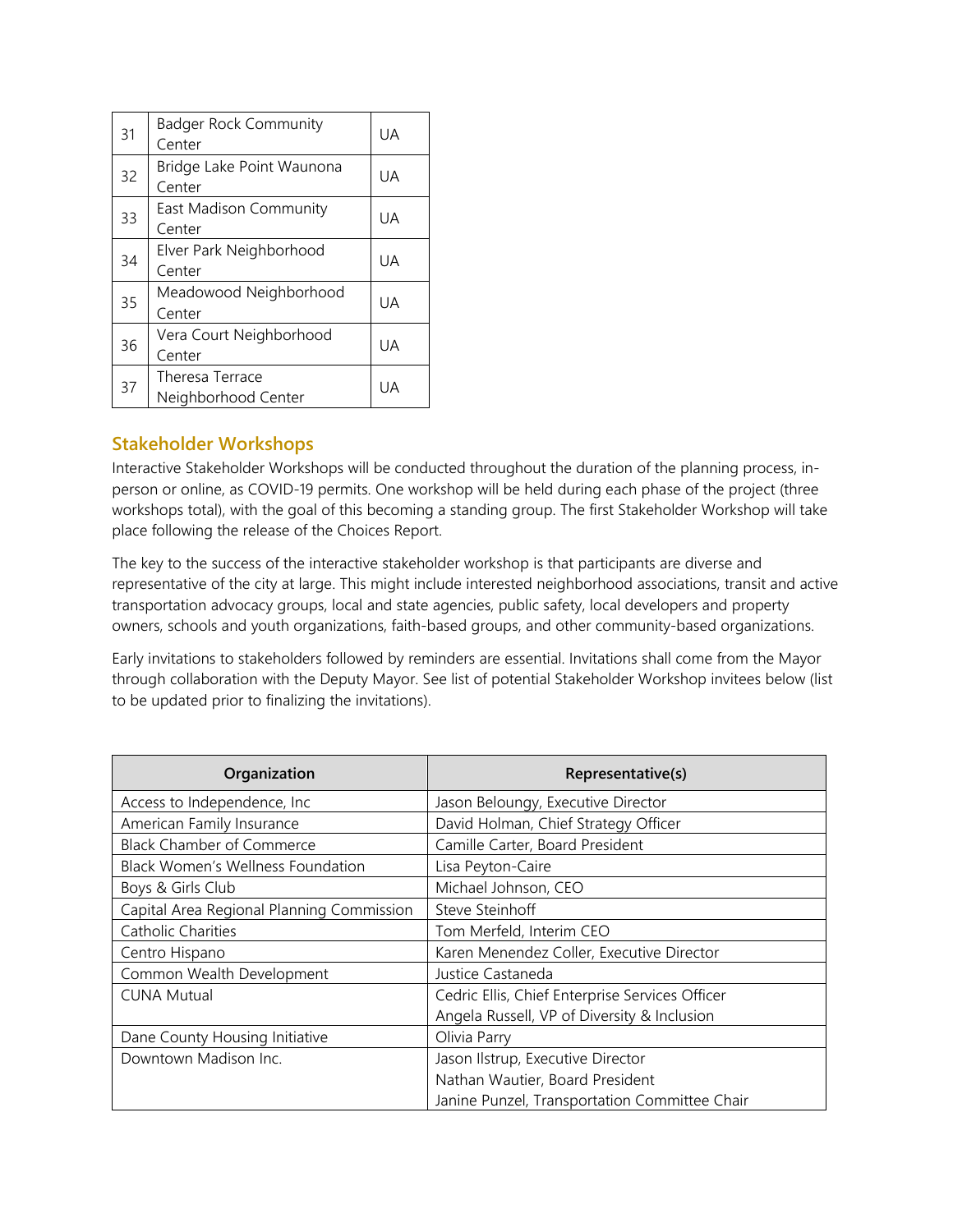| 31 | <b>Badger Rock Community</b><br>Center | UA        |
|----|----------------------------------------|-----------|
| 32 | Bridge Lake Point Waunona<br>Center    | UA        |
| 33 | East Madison Community<br>Center       | UA.       |
| 34 | Elver Park Neighborhood<br>Center      | UA.       |
| 35 | Meadowood Neighborhood<br>Center       | <b>UA</b> |
| 36 | Vera Court Neighborhood<br>Center      | UA        |
| 37 | Theresa Terrace<br>Neighborhood Center | UA        |

## **Stakeholder Workshops**

Interactive Stakeholder Workshops will be conducted throughout the duration of the planning process, inperson or online, as COVID-19 permits. One workshop will be held during each phase of the project (three workshops total), with the goal of this becoming a standing group. The first Stakeholder Workshop will take place following the release of the Choices Report.

The key to the success of the interactive stakeholder workshop is that participants are diverse and representative of the city at large. This might include interested neighborhood associations, transit and active transportation advocacy groups, local and state agencies, public safety, local developers and property owners, schools and youth organizations, faith-based groups, and other community-based organizations.

Early invitations to stakeholders followed by reminders are essential. Invitations shall come from the Mayor through collaboration with the Deputy Mayor. See list of potential Stakeholder Workshop invitees below (list to be updated prior to finalizing the invitations).

| Organization                              | Representative(s)                               |
|-------------------------------------------|-------------------------------------------------|
| Access to Independence, Inc.              | Jason Beloungy, Executive Director              |
| American Family Insurance                 | David Holman, Chief Strategy Officer            |
| <b>Black Chamber of Commerce</b>          | Camille Carter, Board President                 |
| <b>Black Women's Wellness Foundation</b>  | Lisa Peyton-Caire                               |
| Boys & Girls Club                         | Michael Johnson, CEO                            |
| Capital Area Regional Planning Commission | Steve Steinhoff                                 |
| Catholic Charities                        | Tom Merfeld, Interim CEO                        |
| Centro Hispano                            | Karen Menendez Coller, Executive Director       |
| Common Wealth Development                 | Justice Castaneda                               |
| <b>CUNA Mutual</b>                        | Cedric Ellis, Chief Enterprise Services Officer |
|                                           | Angela Russell, VP of Diversity & Inclusion     |
| Dane County Housing Initiative            | Olivia Parry                                    |
| Downtown Madison Inc.                     | Jason Ilstrup, Executive Director               |
|                                           | Nathan Wautier, Board President                 |
|                                           | Janine Punzel, Transportation Committee Chair   |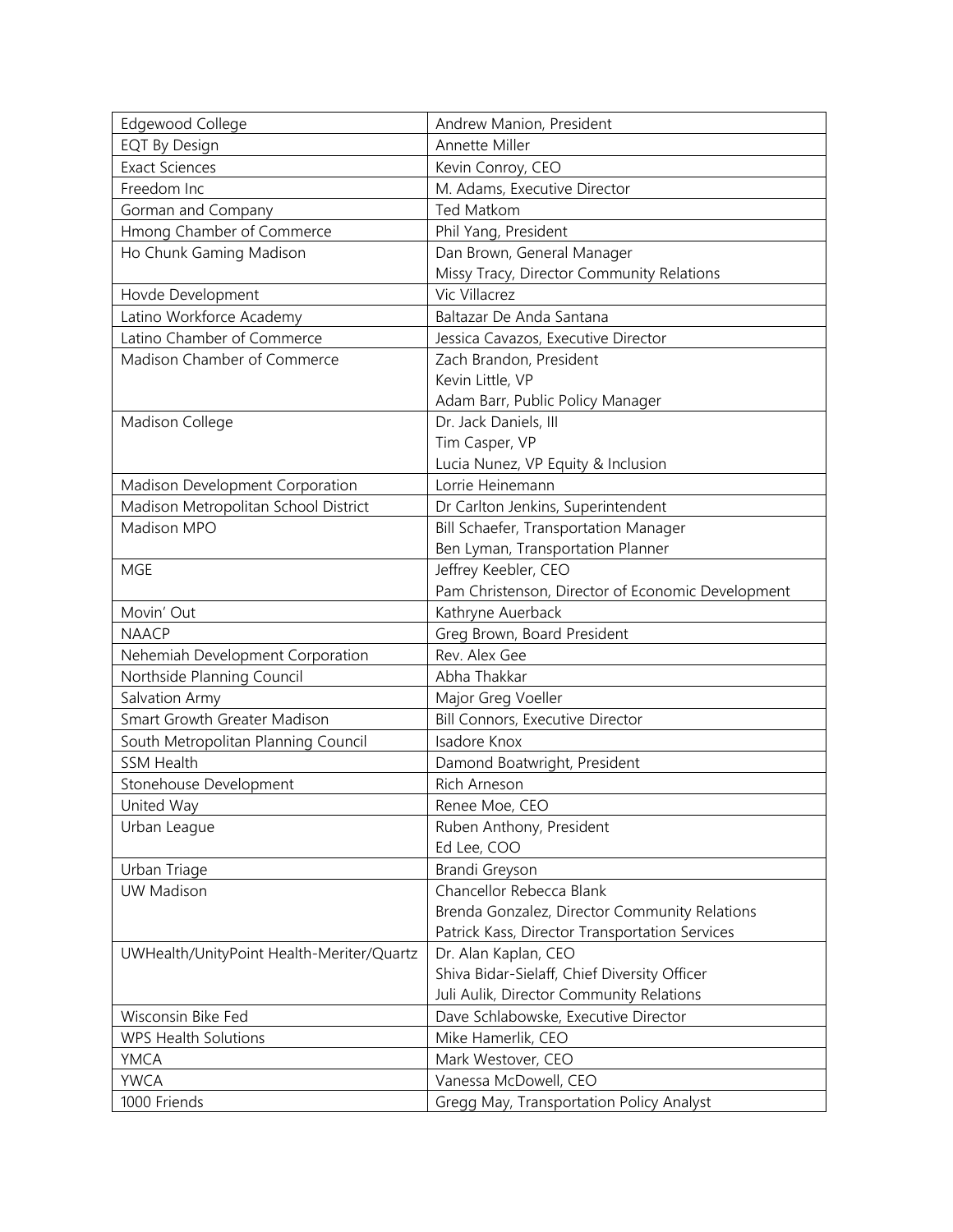| Edgewood College                          | Andrew Manion, President                          |
|-------------------------------------------|---------------------------------------------------|
| <b>EQT By Design</b>                      | Annette Miller                                    |
| <b>Exact Sciences</b>                     | Kevin Conroy, CEO                                 |
| Freedom Inc                               | M. Adams, Executive Director                      |
| Gorman and Company                        | Ted Matkom                                        |
| Hmong Chamber of Commerce                 | Phil Yang, President                              |
| Ho Chunk Gaming Madison                   | Dan Brown, General Manager                        |
|                                           | Missy Tracy, Director Community Relations         |
| Hovde Development                         | Vic Villacrez                                     |
| Latino Workforce Academy                  | Baltazar De Anda Santana                          |
| Latino Chamber of Commerce                | Jessica Cavazos, Executive Director               |
| Madison Chamber of Commerce               | Zach Brandon, President                           |
|                                           | Kevin Little, VP                                  |
|                                           | Adam Barr, Public Policy Manager                  |
| Madison College                           | Dr. Jack Daniels, III                             |
|                                           | Tim Casper, VP                                    |
|                                           | Lucia Nunez, VP Equity & Inclusion                |
| Madison Development Corporation           | Lorrie Heinemann                                  |
| Madison Metropolitan School District      | Dr Carlton Jenkins, Superintendent                |
| Madison MPO                               | Bill Schaefer, Transportation Manager             |
|                                           | Ben Lyman, Transportation Planner                 |
| <b>MGE</b>                                | Jeffrey Keebler, CEO                              |
|                                           | Pam Christenson, Director of Economic Development |
| Movin' Out                                | Kathryne Auerback                                 |
| <b>NAACP</b>                              | Greg Brown, Board President                       |
| Nehemiah Development Corporation          | Rev. Alex Gee                                     |
| Northside Planning Council                | Abha Thakkar                                      |
| Salvation Army                            | Major Greg Voeller                                |
| Smart Growth Greater Madison              | <b>Bill Connors, Executive Director</b>           |
| South Metropolitan Planning Council       | Isadore Knox                                      |
| <b>SSM Health</b>                         | Damond Boatwright, President                      |
| Stonehouse Development                    | Rich Arneson                                      |
| United Way                                | Renee Moe, CEO                                    |
| Urban League                              | Ruben Anthony, President                          |
|                                           | Ed Lee, COO                                       |
| Urban Triage                              | Brandi Greyson                                    |
| <b>UW Madison</b>                         | Chancellor Rebecca Blank                          |
|                                           | Brenda Gonzalez, Director Community Relations     |
|                                           | Patrick Kass, Director Transportation Services    |
| UWHealth/UnityPoint Health-Meriter/Quartz | Dr. Alan Kaplan, CEO                              |
|                                           | Shiva Bidar-Sielaff, Chief Diversity Officer      |
|                                           | Juli Aulik, Director Community Relations          |
| Wisconsin Bike Fed                        | Dave Schlabowske, Executive Director              |
| <b>WPS Health Solutions</b>               | Mike Hamerlik, CEO                                |
| YMCA                                      | Mark Westover, CEO                                |
| <b>YWCA</b>                               | Vanessa McDowell, CEO                             |
| 1000 Friends                              | Gregg May, Transportation Policy Analyst          |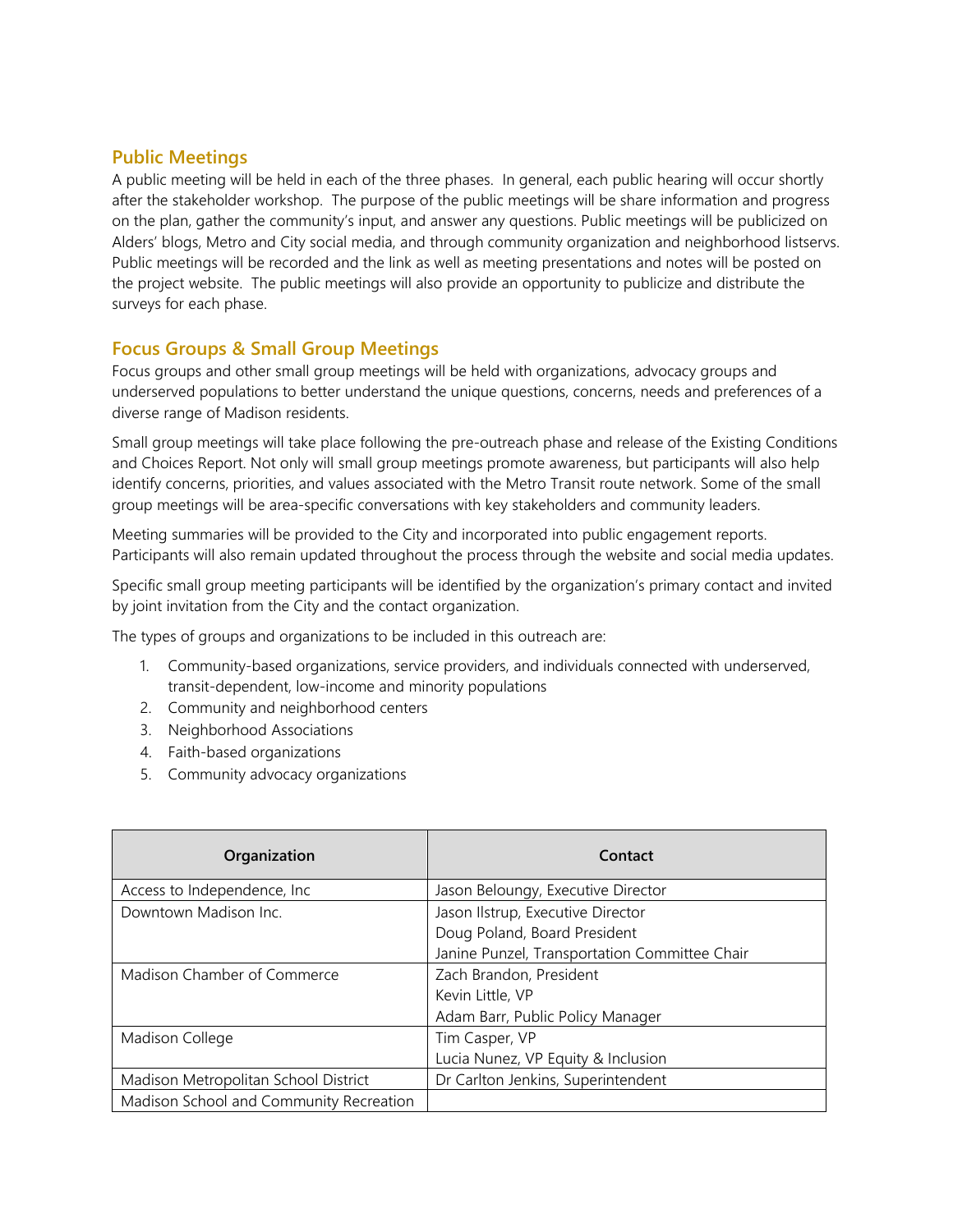### **Public Meetings**

A public meeting will be held in each of the three phases. In general, each public hearing will occur shortly after the stakeholder workshop. The purpose of the public meetings will be share information and progress on the plan, gather the community's input, and answer any questions. Public meetings will be publicized on Alders' blogs, Metro and City social media, and through community organization and neighborhood listservs. Public meetings will be recorded and the link as well as meeting presentations and notes will be posted on the project website. The public meetings will also provide an opportunity to publicize and distribute the surveys for each phase.

### **Focus Groups & Small Group Meetings**

Focus groups and other small group meetings will be held with organizations, advocacy groups and underserved populations to better understand the unique questions, concerns, needs and preferences of a diverse range of Madison residents.

Small group meetings will take place following the pre-outreach phase and release of the Existing Conditions and Choices Report. Not only will small group meetings promote awareness, but participants will also help identify concerns, priorities, and values associated with the Metro Transit route network. Some of the small group meetings will be area-specific conversations with key stakeholders and community leaders.

Meeting summaries will be provided to the City and incorporated into public engagement reports. Participants will also remain updated throughout the process through the website and social media updates.

Specific small group meeting participants will be identified by the organization's primary contact and invited by joint invitation from the City and the contact organization.

The types of groups and organizations to be included in this outreach are:

- 1. Community-based organizations, service providers, and individuals connected with underserved, transit-dependent, low-income and minority populations
- 2. Community and neighborhood centers
- 3. Neighborhood Associations
- 4. Faith-based organizations
- 5. Community advocacy organizations

| Organization                            | Contact                                       |
|-----------------------------------------|-----------------------------------------------|
| Access to Independence, Inc.            | Jason Beloungy, Executive Director            |
| Downtown Madison Inc.                   | Jason Ilstrup, Executive Director             |
|                                         | Doug Poland, Board President                  |
|                                         | Janine Punzel, Transportation Committee Chair |
| Madison Chamber of Commerce             | Zach Brandon, President                       |
|                                         | Kevin Little, VP                              |
|                                         | Adam Barr, Public Policy Manager              |
| Madison College                         | Tim Casper, VP                                |
|                                         | Lucia Nunez, VP Equity & Inclusion            |
| Madison Metropolitan School District    | Dr Carlton Jenkins, Superintendent            |
| Madison School and Community Recreation |                                               |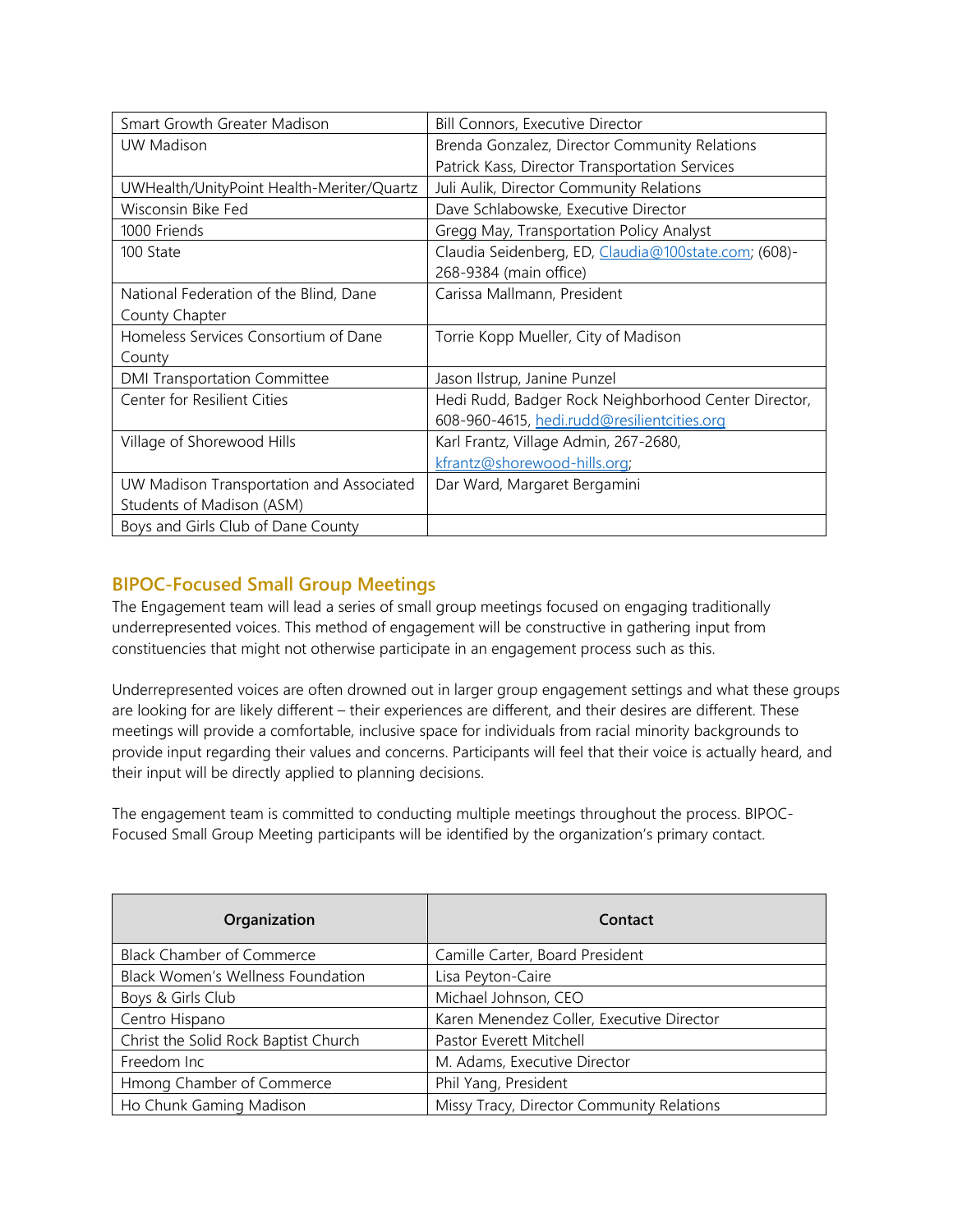| Smart Growth Greater Madison              | <b>Bill Connors, Executive Director</b>              |
|-------------------------------------------|------------------------------------------------------|
| UW Madison                                | Brenda Gonzalez, Director Community Relations        |
|                                           | Patrick Kass, Director Transportation Services       |
| UWHealth/UnityPoint Health-Meriter/Quartz | Juli Aulik, Director Community Relations             |
| Wisconsin Bike Fed                        | Dave Schlabowske, Executive Director                 |
| 1000 Friends                              | Gregg May, Transportation Policy Analyst             |
| 100 State                                 | Claudia Seidenberg, ED, Claudia@100state.com; (608)- |
|                                           | 268-9384 (main office)                               |
| National Federation of the Blind, Dane    | Carissa Mallmann, President                          |
| County Chapter                            |                                                      |
| Homeless Services Consortium of Dane      | Torrie Kopp Mueller, City of Madison                 |
| County                                    |                                                      |
| <b>DMI Transportation Committee</b>       | Jason Ilstrup, Janine Punzel                         |
| Center for Resilient Cities               | Hedi Rudd, Badger Rock Neighborhood Center Director, |
|                                           | 608-960-4615, hedi.rudd@resilientcities.org          |
| Village of Shorewood Hills                | Karl Frantz, Village Admin, 267-2680,                |
|                                           | kfrantz@shorewood-hills.org;                         |
| UW Madison Transportation and Associated  | Dar Ward, Margaret Bergamini                         |
| Students of Madison (ASM)                 |                                                      |
| Boys and Girls Club of Dane County        |                                                      |

# **BIPOC-Focused Small Group Meetings**

The Engagement team will lead a series of small group meetings focused on engaging traditionally underrepresented voices. This method of engagement will be constructive in gathering input from constituencies that might not otherwise participate in an engagement process such as this.

Underrepresented voices are often drowned out in larger group engagement settings and what these groups are looking for are likely different – their experiences are different, and their desires are different. These meetings will provide a comfortable, inclusive space for individuals from racial minority backgrounds to provide input regarding their values and concerns. Participants will feel that their voice is actually heard, and their input will be directly applied to planning decisions.

The engagement team is committed to conducting multiple meetings throughout the process. BIPOC-Focused Small Group Meeting participants will be identified by the organization's primary contact.

| Organization                             | Contact                                   |
|------------------------------------------|-------------------------------------------|
| <b>Black Chamber of Commerce</b>         | Camille Carter, Board President           |
| <b>Black Women's Wellness Foundation</b> | Lisa Peyton-Caire                         |
| Boys & Girls Club                        | Michael Johnson, CEO                      |
| Centro Hispano                           | Karen Menendez Coller, Executive Director |
| Christ the Solid Rock Baptist Church     | Pastor Everett Mitchell                   |
| Freedom Inc                              | M. Adams, Executive Director              |
| Hmong Chamber of Commerce                | Phil Yang, President                      |
| Ho Chunk Gaming Madison                  | Missy Tracy, Director Community Relations |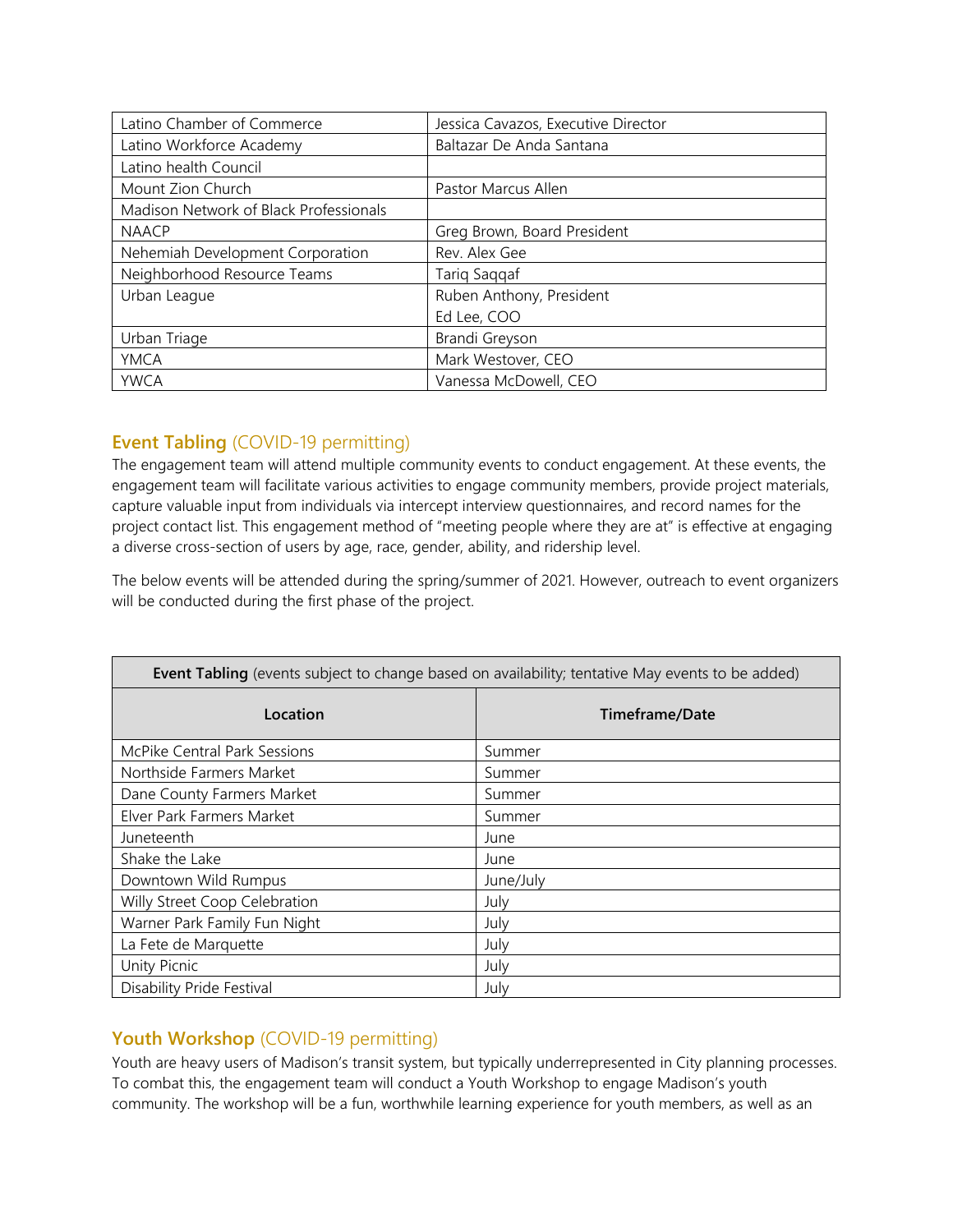| Latino Chamber of Commerce             | Jessica Cavazos, Executive Director |
|----------------------------------------|-------------------------------------|
| Latino Workforce Academy               | Baltazar De Anda Santana            |
| Latino health Council                  |                                     |
| Mount Zion Church                      | Pastor Marcus Allen                 |
| Madison Network of Black Professionals |                                     |
| <b>NAACP</b>                           | Greg Brown, Board President         |
| Nehemiah Development Corporation       | Rev. Alex Gee                       |
| Neighborhood Resource Teams            | Tariq Saqqaf                        |
| Urban League                           | Ruben Anthony, President            |
|                                        | Ed Lee, COO                         |
| Urban Triage                           | Brandi Greyson                      |
| <b>YMCA</b>                            | Mark Westover, CEO                  |
| <b>YWCA</b>                            | Vanessa McDowell, CEO               |

## **Event Tabling** (COVID-19 permitting)

The engagement team will attend multiple community events to conduct engagement. At these events, the engagement team will facilitate various activities to engage community members, provide project materials, capture valuable input from individuals via intercept interview questionnaires, and record names for the project contact list. This engagement method of "meeting people where they are at" is effective at engaging a diverse cross-section of users by age, race, gender, ability, and ridership level.

The below events will be attended during the spring/summer of 2021. However, outreach to event organizers will be conducted during the first phase of the project.

| Event Tabling (events subject to change based on availability; tentative May events to be added) |                |  |
|--------------------------------------------------------------------------------------------------|----------------|--|
| Location                                                                                         | Timeframe/Date |  |
| <b>McPike Central Park Sessions</b>                                                              | Summer         |  |
| Northside Farmers Market                                                                         | Summer         |  |
| Dane County Farmers Market                                                                       | Summer         |  |
| Elver Park Farmers Market                                                                        | Summer         |  |
| Juneteenth                                                                                       | June           |  |
| Shake the Lake                                                                                   | June           |  |
| Downtown Wild Rumpus                                                                             | June/July      |  |
| Willy Street Coop Celebration                                                                    | July           |  |
| Warner Park Family Fun Night                                                                     | July           |  |
| La Fete de Marquette                                                                             | July           |  |
| Unity Picnic                                                                                     | July           |  |
| Disability Pride Festival                                                                        | July           |  |

# **Youth Workshop** (COVID-19 permitting)

Youth are heavy users of Madison's transit system, but typically underrepresented in City planning processes. To combat this, the engagement team will conduct a Youth Workshop to engage Madison's youth community. The workshop will be a fun, worthwhile learning experience for youth members, as well as an